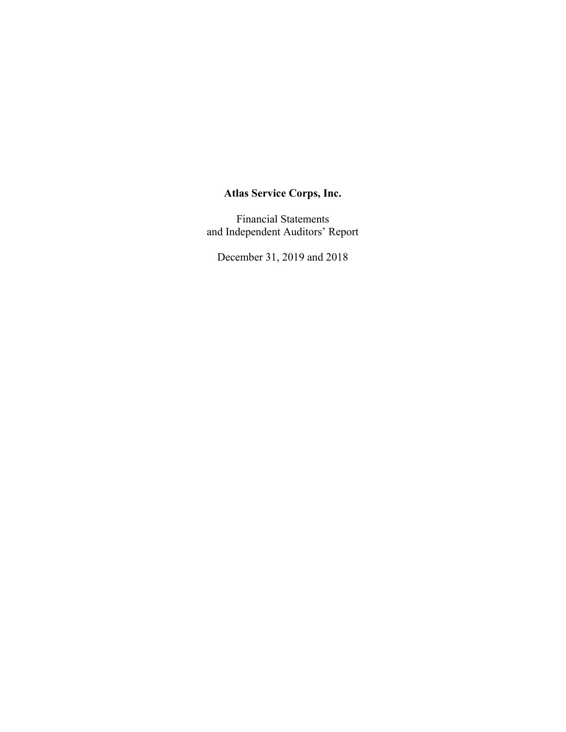Financial Statements and Independent Auditors' Report

December 31, 2019 and 2018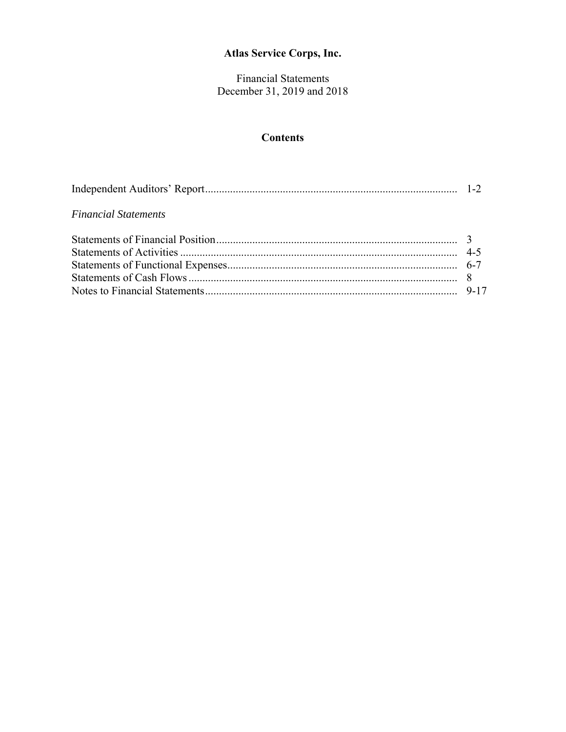Financial Statements December 31, 2019 and 2018

## **Contents**

| <b>Financial Statements</b> |  |
|-----------------------------|--|
|                             |  |
|                             |  |
|                             |  |
|                             |  |
|                             |  |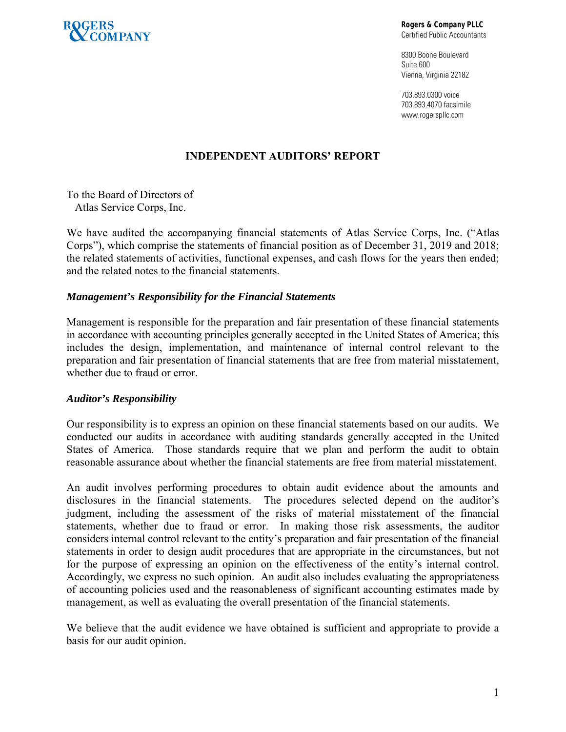

**Rogers & Company PLLC**  Certified Public Accountants

8300 Boone Boulevard Suite 600 Vienna, Virginia 22182

703.893.0300 voice 703.893.4070 facsimile www.rogerspllc.com

## **INDEPENDENT AUDITORS' REPORT**

To the Board of Directors of Atlas Service Corps, Inc.

We have audited the accompanying financial statements of Atlas Service Corps, Inc. ("Atlas Corps"), which comprise the statements of financial position as of December 31, 2019 and 2018; the related statements of activities, functional expenses, and cash flows for the years then ended; and the related notes to the financial statements.

#### *Management's Responsibility for the Financial Statements*

Management is responsible for the preparation and fair presentation of these financial statements in accordance with accounting principles generally accepted in the United States of America; this includes the design, implementation, and maintenance of internal control relevant to the preparation and fair presentation of financial statements that are free from material misstatement, whether due to fraud or error.

#### *Auditor's Responsibility*

Our responsibility is to express an opinion on these financial statements based on our audits. We conducted our audits in accordance with auditing standards generally accepted in the United States of America. Those standards require that we plan and perform the audit to obtain reasonable assurance about whether the financial statements are free from material misstatement.

An audit involves performing procedures to obtain audit evidence about the amounts and disclosures in the financial statements. The procedures selected depend on the auditor's judgment, including the assessment of the risks of material misstatement of the financial statements, whether due to fraud or error. In making those risk assessments, the auditor considers internal control relevant to the entity's preparation and fair presentation of the financial statements in order to design audit procedures that are appropriate in the circumstances, but not for the purpose of expressing an opinion on the effectiveness of the entity's internal control. Accordingly, we express no such opinion. An audit also includes evaluating the appropriateness of accounting policies used and the reasonableness of significant accounting estimates made by management, as well as evaluating the overall presentation of the financial statements.

We believe that the audit evidence we have obtained is sufficient and appropriate to provide a basis for our audit opinion.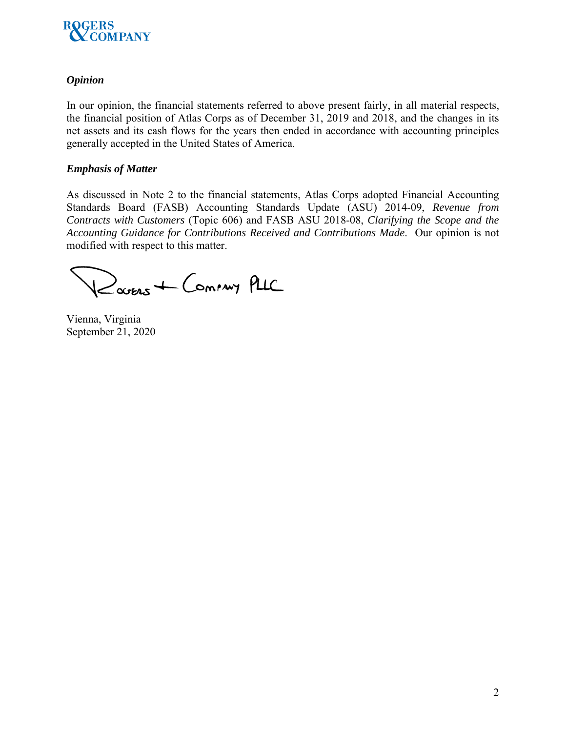

### *Opinion*

In our opinion, the financial statements referred to above present fairly, in all material respects, the financial position of Atlas Corps as of December 31, 2019 and 2018, and the changes in its net assets and its cash flows for the years then ended in accordance with accounting principles generally accepted in the United States of America.

### *Emphasis of Matter*

As discussed in Note 2 to the financial statements, Atlas Corps adopted Financial Accounting Standards Board (FASB) Accounting Standards Update (ASU) 2014-09, *Revenue from Contracts with Customers* (Topic 606) and FASB ASU 2018-08, *Clarifying the Scope and the Accounting Guidance for Contributions Received and Contributions Made*. Our opinion is not modified with respect to this matter.

Rouers + Coming PLIC

Vienna, Virginia September 21, 2020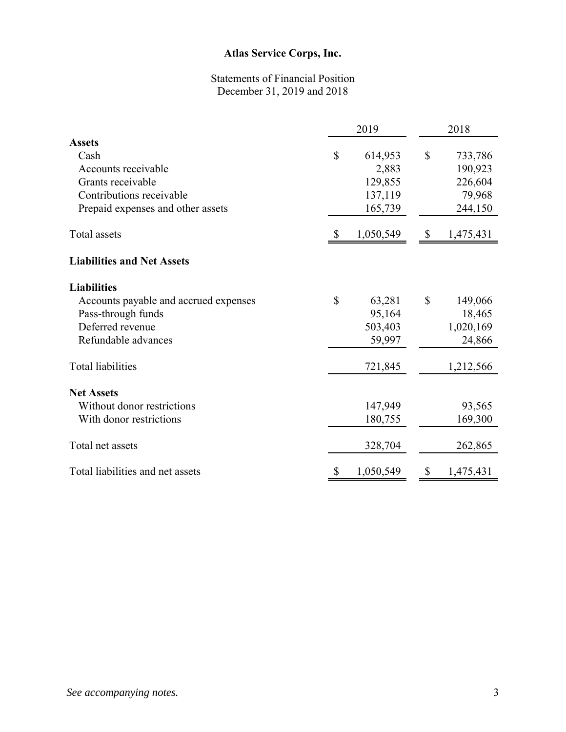# Statements of Financial Position December 31, 2019 and 2018

|                                       | 2019 |           | 2018         |           |  |
|---------------------------------------|------|-----------|--------------|-----------|--|
| <b>Assets</b>                         |      |           |              |           |  |
| Cash                                  | \$   | 614,953   | $\mathbb{S}$ | 733,786   |  |
| Accounts receivable                   |      | 2,883     |              | 190,923   |  |
| Grants receivable                     |      | 129,855   |              | 226,604   |  |
| Contributions receivable              |      | 137,119   |              | 79,968    |  |
| Prepaid expenses and other assets     |      | 165,739   |              | 244,150   |  |
| Total assets                          |      | 1,050,549 | $\mathbb{S}$ | 1,475,431 |  |
| <b>Liabilities and Net Assets</b>     |      |           |              |           |  |
| <b>Liabilities</b>                    |      |           |              |           |  |
| Accounts payable and accrued expenses | \$   | 63,281    | $\mathbb{S}$ | 149,066   |  |
| Pass-through funds                    |      | 95,164    |              | 18,465    |  |
| Deferred revenue                      |      | 503,403   |              | 1,020,169 |  |
| Refundable advances                   |      | 59,997    |              | 24,866    |  |
| <b>Total liabilities</b>              |      | 721,845   |              | 1,212,566 |  |
| <b>Net Assets</b>                     |      |           |              |           |  |
| Without donor restrictions            |      | 147,949   |              | 93,565    |  |
| With donor restrictions               |      | 180,755   |              | 169,300   |  |
| Total net assets                      |      | 328,704   |              | 262,865   |  |
| Total liabilities and net assets      | \$   | 1,050,549 | \$           | 1,475,431 |  |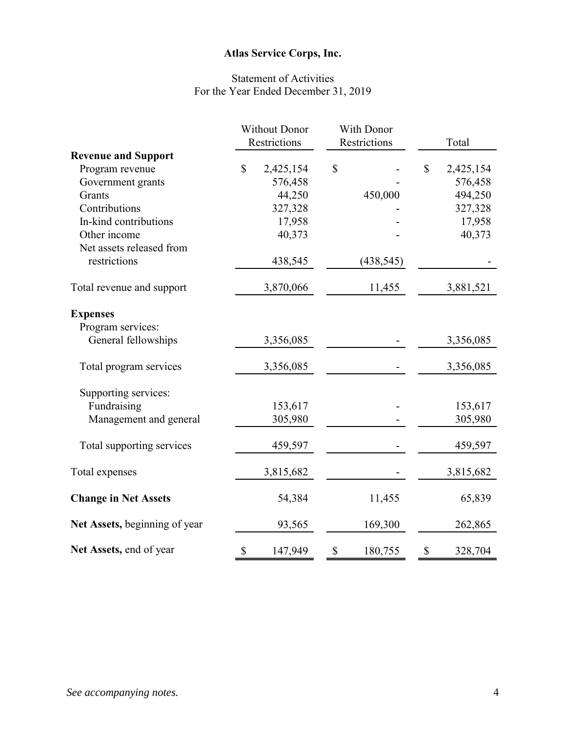# Statement of Activities For the Year Ended December 31, 2019

|                               | <b>Without Donor</b> |              |                     | With Donor |    |           |
|-------------------------------|----------------------|--------------|---------------------|------------|----|-----------|
|                               |                      | Restrictions | <b>Restrictions</b> |            |    | Total     |
| <b>Revenue and Support</b>    |                      |              |                     |            |    |           |
| Program revenue               | $\mathbb{S}$         | 2,425,154    | \$                  |            | \$ | 2,425,154 |
| Government grants             |                      | 576,458      |                     |            |    | 576,458   |
| Grants                        |                      | 44,250       |                     | 450,000    |    | 494,250   |
| Contributions                 |                      | 327,328      |                     |            |    | 327,328   |
| In-kind contributions         |                      | 17,958       |                     |            |    | 17,958    |
| Other income                  |                      | 40,373       |                     |            |    | 40,373    |
| Net assets released from      |                      |              |                     |            |    |           |
| restrictions                  |                      | 438,545      |                     | (438, 545) |    |           |
| Total revenue and support     |                      | 3,870,066    |                     | 11,455     |    | 3,881,521 |
| <b>Expenses</b>               |                      |              |                     |            |    |           |
| Program services:             |                      |              |                     |            |    |           |
| General fellowships           |                      | 3,356,085    |                     |            |    | 3,356,085 |
| Total program services        |                      | 3,356,085    |                     |            |    | 3,356,085 |
| Supporting services:          |                      |              |                     |            |    |           |
| Fundraising                   |                      | 153,617      |                     |            |    | 153,617   |
| Management and general        |                      | 305,980      |                     |            |    | 305,980   |
| Total supporting services     |                      | 459,597      |                     |            |    | 459,597   |
| Total expenses                |                      | 3,815,682    |                     |            |    | 3,815,682 |
| <b>Change in Net Assets</b>   |                      | 54,384       |                     | 11,455     |    | 65,839    |
|                               |                      |              |                     |            |    |           |
| Net Assets, beginning of year |                      | 93,565       |                     | 169,300    |    | 262,865   |
| Net Assets, end of year       | \$                   | 147,949      | \$                  | 180,755    | \$ | 328,704   |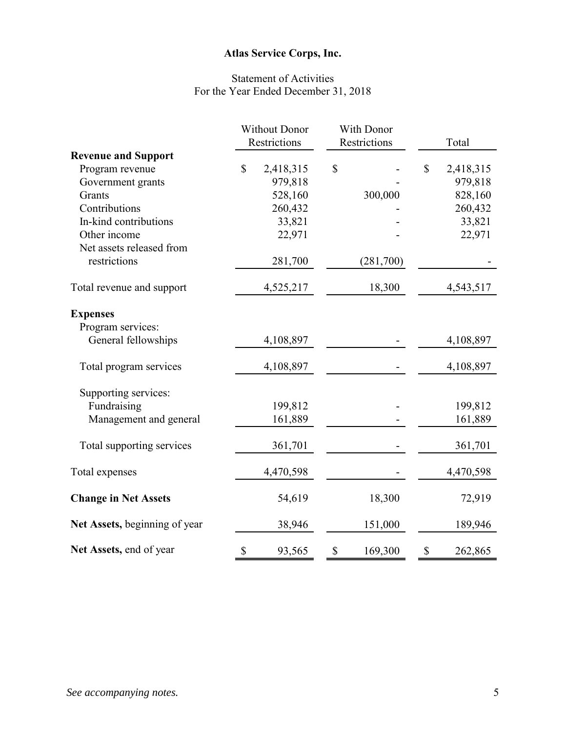# Statement of Activities For the Year Ended December 31, 2018

|                               | <b>Without Donor</b> |              | With Donor          |    |           |
|-------------------------------|----------------------|--------------|---------------------|----|-----------|
|                               |                      | Restrictions | <b>Restrictions</b> |    | Total     |
| <b>Revenue and Support</b>    |                      |              |                     |    |           |
| Program revenue               | $\mathbb{S}$         | 2,418,315    | \$                  | \$ | 2,418,315 |
| Government grants             |                      | 979,818      |                     |    | 979,818   |
| Grants                        |                      | 528,160      | 300,000             |    | 828,160   |
| Contributions                 |                      | 260,432      |                     |    | 260,432   |
| In-kind contributions         |                      | 33,821       |                     |    | 33,821    |
| Other income                  |                      | 22,971       |                     |    | 22,971    |
| Net assets released from      |                      |              |                     |    |           |
| restrictions                  |                      | 281,700      | (281,700)           |    |           |
| Total revenue and support     |                      | 4,525,217    | 18,300              |    | 4,543,517 |
| <b>Expenses</b>               |                      |              |                     |    |           |
| Program services:             |                      |              |                     |    |           |
| General fellowships           |                      | 4,108,897    |                     |    | 4,108,897 |
| Total program services        |                      | 4,108,897    |                     |    | 4,108,897 |
| Supporting services:          |                      |              |                     |    |           |
| Fundraising                   |                      | 199,812      |                     |    | 199,812   |
| Management and general        |                      | 161,889      |                     |    | 161,889   |
| Total supporting services     |                      | 361,701      |                     |    | 361,701   |
| Total expenses                |                      | 4,470,598    |                     |    | 4,470,598 |
| <b>Change in Net Assets</b>   |                      | 54,619       | 18,300              |    | 72,919    |
| Net Assets, beginning of year |                      | 38,946       | 151,000             |    | 189,946   |
| Net Assets, end of year       | \$                   | 93,565       | \$<br>169,300       | \$ | 262,865   |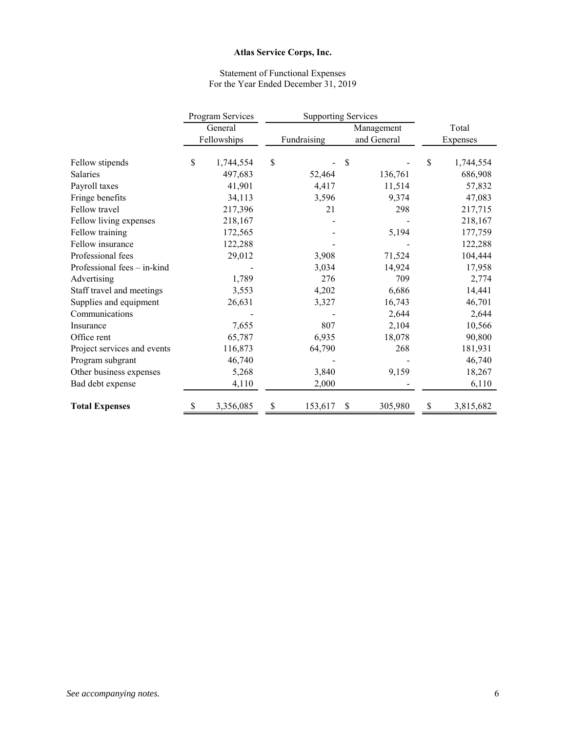#### Statement of Functional Expenses For the Year Ended December 31, 2019

|                             | Program Services | <b>Supporting Services</b> |             |    |             |    |           |  |
|-----------------------------|------------------|----------------------------|-------------|----|-------------|----|-----------|--|
|                             | General          |                            |             |    | Management  |    | Total     |  |
|                             | Fellowships      |                            | Fundraising |    | and General |    | Expenses  |  |
| Fellow stipends             | \$<br>1,744,554  | \$                         |             | \$ |             | \$ | 1,744,554 |  |
| Salaries                    | 497,683          |                            | 52,464      |    | 136,761     |    | 686,908   |  |
| Payroll taxes               | 41,901           |                            | 4,417       |    | 11,514      |    | 57,832    |  |
| Fringe benefits             | 34,113           |                            | 3,596       |    | 9,374       |    | 47,083    |  |
| Fellow travel               | 217,396          |                            | 21          |    | 298         |    | 217,715   |  |
| Fellow living expenses      | 218,167          |                            |             |    |             |    | 218,167   |  |
| Fellow training             | 172,565          |                            |             |    | 5,194       |    | 177,759   |  |
| Fellow insurance            | 122,288          |                            |             |    |             |    | 122,288   |  |
| Professional fees           | 29,012           |                            | 3,908       |    | 71,524      |    | 104,444   |  |
| Professional fees - in-kind |                  |                            | 3,034       |    | 14,924      |    | 17,958    |  |
| Advertising                 | 1,789            |                            | 276         |    | 709         |    | 2,774     |  |
| Staff travel and meetings   | 3,553            |                            | 4,202       |    | 6,686       |    | 14,441    |  |
| Supplies and equipment      | 26,631           |                            | 3,327       |    | 16,743      |    | 46,701    |  |
| Communications              |                  |                            |             |    | 2,644       |    | 2,644     |  |
| Insurance                   | 7,655            |                            | 807         |    | 2,104       |    | 10,566    |  |
| Office rent                 | 65,787           |                            | 6,935       |    | 18,078      |    | 90,800    |  |
| Project services and events | 116,873          |                            | 64,790      |    | 268         |    | 181,931   |  |
| Program subgrant            | 46,740           |                            |             |    |             |    | 46,740    |  |
| Other business expenses     | 5,268            |                            | 3,840       |    | 9,159       |    | 18,267    |  |
| Bad debt expense            | 4,110            |                            | 2,000       |    |             |    | 6,110     |  |
| <b>Total Expenses</b>       | \$<br>3,356,085  | \$                         | 153,617     | \$ | 305,980     | \$ | 3,815,682 |  |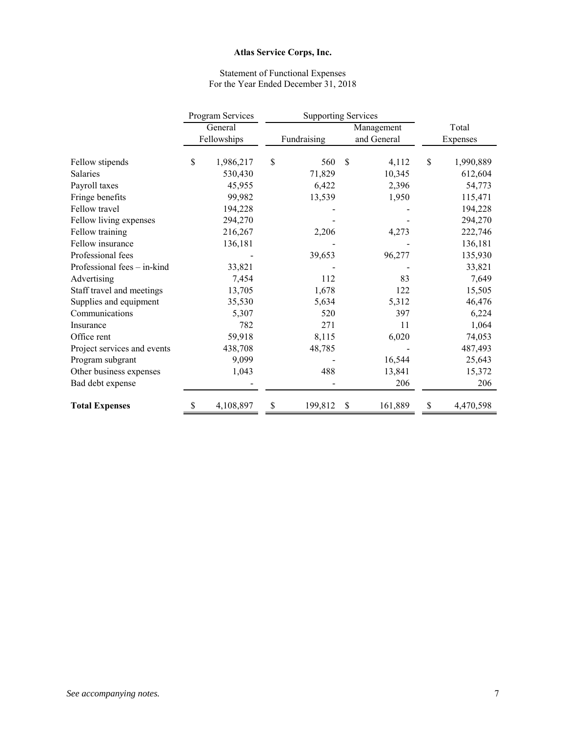#### Statement of Functional Expenses For the Year Ended December 31, 2018

|                             | Program Services      |    | <b>Supporting Services</b> |    |             |    |           |
|-----------------------------|-----------------------|----|----------------------------|----|-------------|----|-----------|
|                             | General<br>Management |    |                            |    | Total       |    |           |
|                             | Fellowships           |    | Fundraising                |    | and General |    | Expenses  |
| Fellow stipends             | \$<br>1,986,217       | \$ | 560                        | \$ | 4,112       | \$ | 1,990,889 |
| <b>Salaries</b>             | 530,430               |    | 71,829                     |    | 10,345      |    | 612,604   |
| Payroll taxes               | 45,955                |    | 6,422                      |    | 2,396       |    | 54,773    |
| Fringe benefits             | 99,982                |    | 13,539                     |    | 1,950       |    | 115,471   |
| Fellow travel               | 194,228               |    |                            |    |             |    | 194,228   |
| Fellow living expenses      | 294,270               |    |                            |    |             |    | 294,270   |
| Fellow training             | 216,267               |    | 2,206                      |    | 4,273       |    | 222,746   |
| Fellow insurance            | 136,181               |    |                            |    |             |    | 136,181   |
| Professional fees           |                       |    | 39,653                     |    | 96,277      |    | 135,930   |
| Professional fees - in-kind | 33,821                |    |                            |    |             |    | 33,821    |
| Advertising                 | 7,454                 |    | 112                        |    | 83          |    | 7,649     |
| Staff travel and meetings   | 13,705                |    | 1,678                      |    | 122         |    | 15,505    |
| Supplies and equipment      | 35,530                |    | 5,634                      |    | 5,312       |    | 46,476    |
| Communications              | 5,307                 |    | 520                        |    | 397         |    | 6,224     |
| Insurance                   | 782                   |    | 271                        |    | 11          |    | 1,064     |
| Office rent                 | 59,918                |    | 8,115                      |    | 6,020       |    | 74,053    |
| Project services and events | 438,708               |    | 48,785                     |    |             |    | 487,493   |
| Program subgrant            | 9,099                 |    |                            |    | 16,544      |    | 25,643    |
| Other business expenses     | 1,043                 |    | 488                        |    | 13,841      |    | 15,372    |
| Bad debt expense            |                       |    |                            |    | 206         |    | 206       |
| <b>Total Expenses</b>       | \$<br>4,108,897       | \$ | 199,812                    | \$ | 161,889     | \$ | 4,470,598 |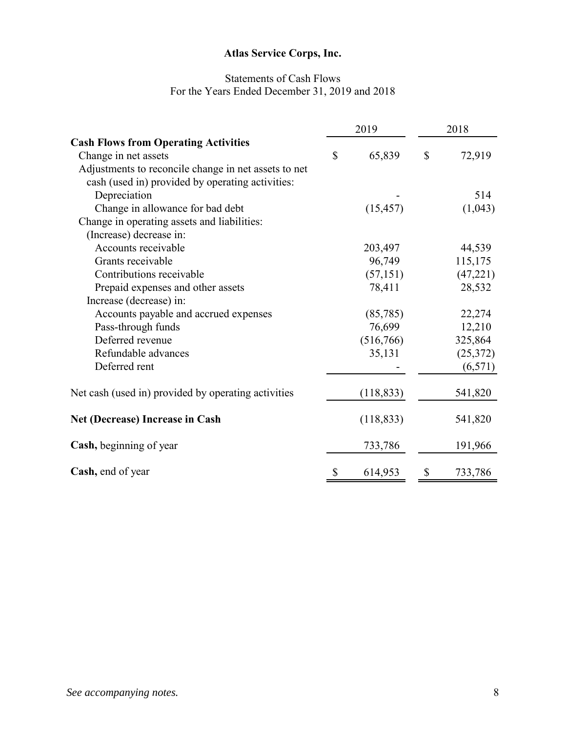# Statements of Cash Flows For the Years Ended December 31, 2019 and 2018

|                                                      | 2019          | 2018 |          |  |
|------------------------------------------------------|---------------|------|----------|--|
| <b>Cash Flows from Operating Activities</b>          |               |      |          |  |
| Change in net assets                                 | \$<br>65,839  | \$   | 72,919   |  |
| Adjustments to reconcile change in net assets to net |               |      |          |  |
| cash (used in) provided by operating activities:     |               |      |          |  |
| Depreciation                                         |               |      | 514      |  |
| Change in allowance for bad debt                     | (15, 457)     |      | (1,043)  |  |
| Change in operating assets and liabilities:          |               |      |          |  |
| (Increase) decrease in:                              |               |      |          |  |
| Accounts receivable                                  | 203,497       |      | 44,539   |  |
| Grants receivable                                    | 96,749        |      | 115,175  |  |
| Contributions receivable                             | (57, 151)     |      | (47,221) |  |
| Prepaid expenses and other assets                    | 78,411        |      | 28,532   |  |
| Increase (decrease) in:                              |               |      |          |  |
| Accounts payable and accrued expenses                | (85,785)      |      | 22,274   |  |
| Pass-through funds                                   | 76,699        |      | 12,210   |  |
| Deferred revenue                                     | (516,766)     |      | 325,864  |  |
| Refundable advances                                  | 35,131        |      | (25,372) |  |
| Deferred rent                                        |               |      | (6,571)  |  |
| Net cash (used in) provided by operating activities  | (118, 833)    |      | 541,820  |  |
| Net (Decrease) Increase in Cash                      | (118, 833)    |      | 541,820  |  |
| Cash, beginning of year                              | 733,786       |      | 191,966  |  |
| Cash, end of year                                    | \$<br>614,953 | \$   | 733,786  |  |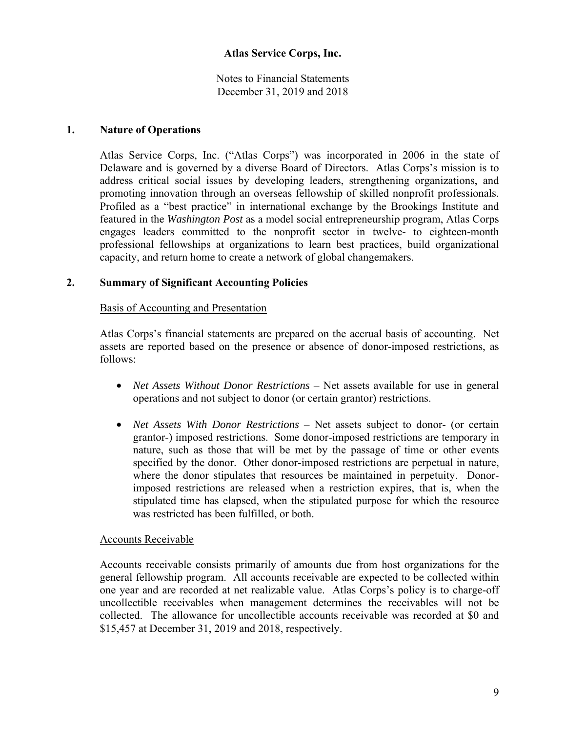Notes to Financial Statements December 31, 2019 and 2018

#### **1. Nature of Operations**

Atlas Service Corps, Inc. ("Atlas Corps") was incorporated in 2006 in the state of Delaware and is governed by a diverse Board of Directors. Atlas Corps's mission is to address critical social issues by developing leaders, strengthening organizations, and promoting innovation through an overseas fellowship of skilled nonprofit professionals. Profiled as a "best practice" in international exchange by the Brookings Institute and featured in the *Washington Post* as a model social entrepreneurship program, Atlas Corps engages leaders committed to the nonprofit sector in twelve- to eighteen-month professional fellowships at organizations to learn best practices, build organizational capacity, and return home to create a network of global changemakers.

#### **2. Summary of Significant Accounting Policies**

#### Basis of Accounting and Presentation

Atlas Corps's financial statements are prepared on the accrual basis of accounting. Net assets are reported based on the presence or absence of donor-imposed restrictions, as follows:

- *Net Assets Without Donor Restrictions* Net assets available for use in general operations and not subject to donor (or certain grantor) restrictions.
- *Net Assets With Donor Restrictions* Net assets subject to donor- (or certain grantor-) imposed restrictions. Some donor-imposed restrictions are temporary in nature, such as those that will be met by the passage of time or other events specified by the donor. Other donor-imposed restrictions are perpetual in nature, where the donor stipulates that resources be maintained in perpetuity. Donorimposed restrictions are released when a restriction expires, that is, when the stipulated time has elapsed, when the stipulated purpose for which the resource was restricted has been fulfilled, or both.

#### Accounts Receivable

Accounts receivable consists primarily of amounts due from host organizations for the general fellowship program. All accounts receivable are expected to be collected within one year and are recorded at net realizable value. Atlas Corps's policy is to charge-off uncollectible receivables when management determines the receivables will not be collected. The allowance for uncollectible accounts receivable was recorded at \$0 and \$15,457 at December 31, 2019 and 2018, respectively.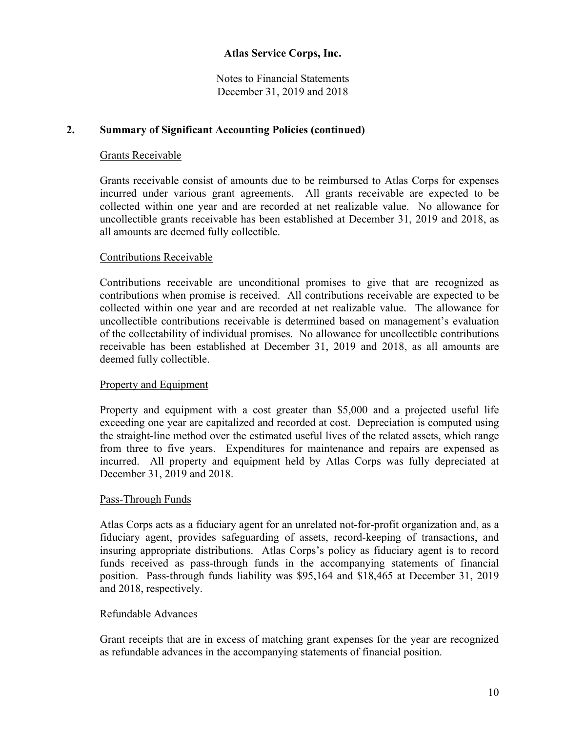Notes to Financial Statements December 31, 2019 and 2018

## **2. Summary of Significant Accounting Policies (continued)**

### Grants Receivable

Grants receivable consist of amounts due to be reimbursed to Atlas Corps for expenses incurred under various grant agreements. All grants receivable are expected to be collected within one year and are recorded at net realizable value. No allowance for uncollectible grants receivable has been established at December 31, 2019 and 2018, as all amounts are deemed fully collectible.

## Contributions Receivable

Contributions receivable are unconditional promises to give that are recognized as contributions when promise is received. All contributions receivable are expected to be collected within one year and are recorded at net realizable value. The allowance for uncollectible contributions receivable is determined based on management's evaluation of the collectability of individual promises. No allowance for uncollectible contributions receivable has been established at December 31, 2019 and 2018, as all amounts are deemed fully collectible.

#### Property and Equipment

Property and equipment with a cost greater than \$5,000 and a projected useful life exceeding one year are capitalized and recorded at cost. Depreciation is computed using the straight-line method over the estimated useful lives of the related assets, which range from three to five years. Expenditures for maintenance and repairs are expensed as incurred. All property and equipment held by Atlas Corps was fully depreciated at December 31, 2019 and 2018.

#### Pass-Through Funds

Atlas Corps acts as a fiduciary agent for an unrelated not-for-profit organization and, as a fiduciary agent, provides safeguarding of assets, record-keeping of transactions, and insuring appropriate distributions. Atlas Corps's policy as fiduciary agent is to record funds received as pass-through funds in the accompanying statements of financial position. Pass-through funds liability was \$95,164 and \$18,465 at December 31, 2019 and 2018, respectively.

#### Refundable Advances

Grant receipts that are in excess of matching grant expenses for the year are recognized as refundable advances in the accompanying statements of financial position.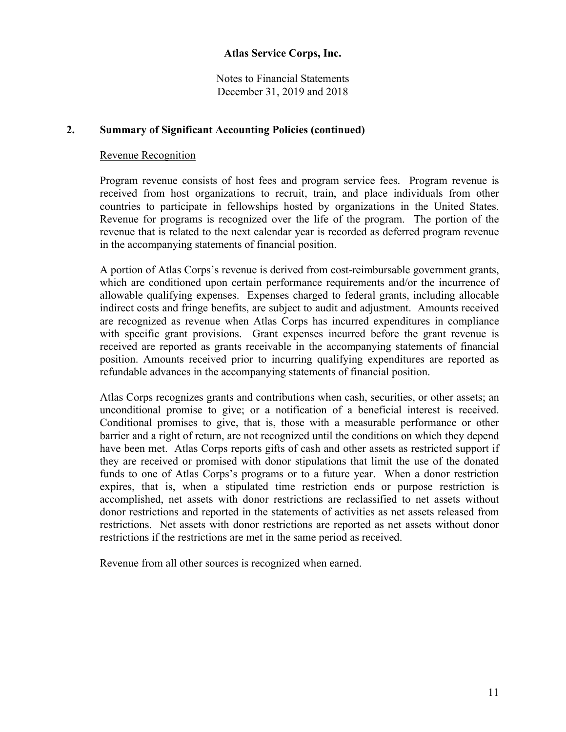Notes to Financial Statements December 31, 2019 and 2018

### **2. Summary of Significant Accounting Policies (continued)**

#### Revenue Recognition

Program revenue consists of host fees and program service fees. Program revenue is received from host organizations to recruit, train, and place individuals from other countries to participate in fellowships hosted by organizations in the United States. Revenue for programs is recognized over the life of the program. The portion of the revenue that is related to the next calendar year is recorded as deferred program revenue in the accompanying statements of financial position.

A portion of Atlas Corps's revenue is derived from cost-reimbursable government grants, which are conditioned upon certain performance requirements and/or the incurrence of allowable qualifying expenses. Expenses charged to federal grants, including allocable indirect costs and fringe benefits, are subject to audit and adjustment. Amounts received are recognized as revenue when Atlas Corps has incurred expenditures in compliance with specific grant provisions. Grant expenses incurred before the grant revenue is received are reported as grants receivable in the accompanying statements of financial position. Amounts received prior to incurring qualifying expenditures are reported as refundable advances in the accompanying statements of financial position.

Atlas Corps recognizes grants and contributions when cash, securities, or other assets; an unconditional promise to give; or a notification of a beneficial interest is received. Conditional promises to give, that is, those with a measurable performance or other barrier and a right of return, are not recognized until the conditions on which they depend have been met. Atlas Corps reports gifts of cash and other assets as restricted support if they are received or promised with donor stipulations that limit the use of the donated funds to one of Atlas Corps's programs or to a future year. When a donor restriction expires, that is, when a stipulated time restriction ends or purpose restriction is accomplished, net assets with donor restrictions are reclassified to net assets without donor restrictions and reported in the statements of activities as net assets released from restrictions. Net assets with donor restrictions are reported as net assets without donor restrictions if the restrictions are met in the same period as received.

Revenue from all other sources is recognized when earned.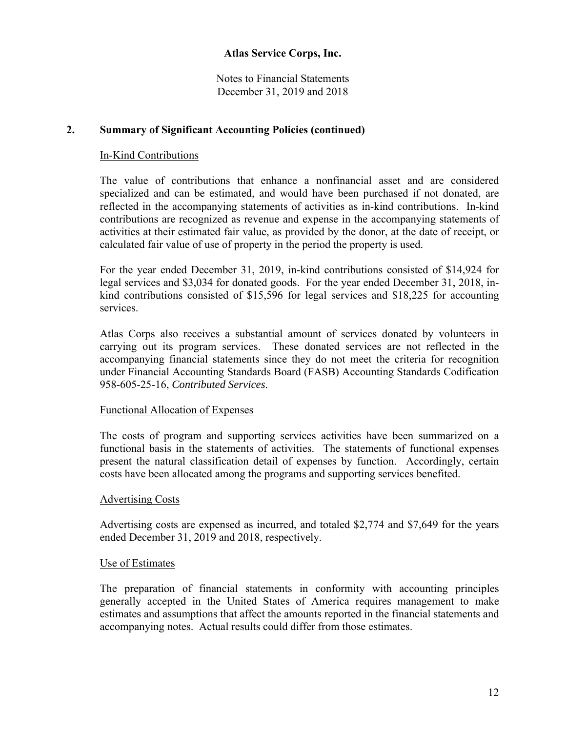Notes to Financial Statements December 31, 2019 and 2018

### **2. Summary of Significant Accounting Policies (continued)**

#### In-Kind Contributions

The value of contributions that enhance a nonfinancial asset and are considered specialized and can be estimated, and would have been purchased if not donated, are reflected in the accompanying statements of activities as in-kind contributions. In-kind contributions are recognized as revenue and expense in the accompanying statements of activities at their estimated fair value, as provided by the donor, at the date of receipt, or calculated fair value of use of property in the period the property is used.

For the year ended December 31, 2019, in-kind contributions consisted of \$14,924 for legal services and \$3,034 for donated goods. For the year ended December 31, 2018, inkind contributions consisted of \$15,596 for legal services and \$18,225 for accounting services.

Atlas Corps also receives a substantial amount of services donated by volunteers in carrying out its program services. These donated services are not reflected in the accompanying financial statements since they do not meet the criteria for recognition under Financial Accounting Standards Board (FASB) Accounting Standards Codification 958-605-25-16, *Contributed Services*.

#### Functional Allocation of Expenses

The costs of program and supporting services activities have been summarized on a functional basis in the statements of activities. The statements of functional expenses present the natural classification detail of expenses by function. Accordingly, certain costs have been allocated among the programs and supporting services benefited.

#### Advertising Costs

Advertising costs are expensed as incurred, and totaled \$2,774 and \$7,649 for the years ended December 31, 2019 and 2018, respectively.

#### Use of Estimates

The preparation of financial statements in conformity with accounting principles generally accepted in the United States of America requires management to make estimates and assumptions that affect the amounts reported in the financial statements and accompanying notes. Actual results could differ from those estimates.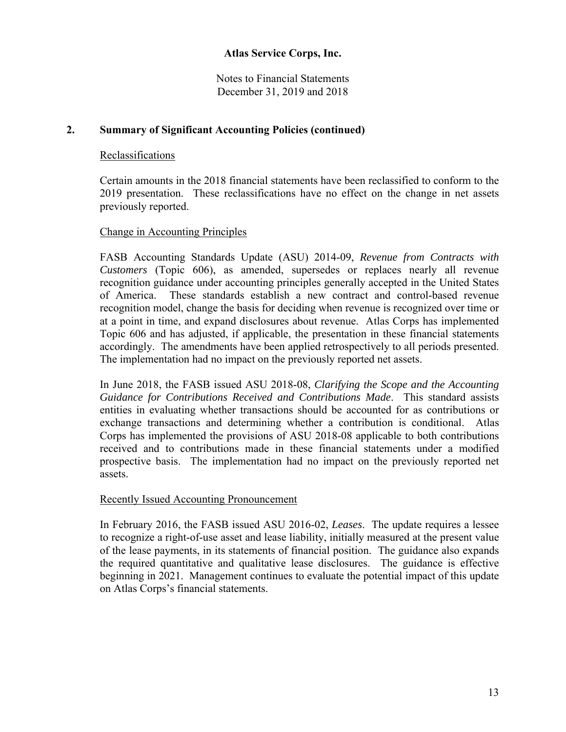Notes to Financial Statements December 31, 2019 and 2018

## **2. Summary of Significant Accounting Policies (continued)**

## Reclassifications

Certain amounts in the 2018 financial statements have been reclassified to conform to the 2019 presentation. These reclassifications have no effect on the change in net assets previously reported.

## Change in Accounting Principles

FASB Accounting Standards Update (ASU) 2014-09, *Revenue from Contracts with Customers* (Topic 606), as amended, supersedes or replaces nearly all revenue recognition guidance under accounting principles generally accepted in the United States of America. These standards establish a new contract and control-based revenue recognition model, change the basis for deciding when revenue is recognized over time or at a point in time, and expand disclosures about revenue. Atlas Corps has implemented Topic 606 and has adjusted, if applicable, the presentation in these financial statements accordingly. The amendments have been applied retrospectively to all periods presented. The implementation had no impact on the previously reported net assets.

In June 2018, the FASB issued ASU 2018-08, *Clarifying the Scope and the Accounting Guidance for Contributions Received and Contributions Made*. This standard assists entities in evaluating whether transactions should be accounted for as contributions or exchange transactions and determining whether a contribution is conditional. Atlas Corps has implemented the provisions of ASU 2018-08 applicable to both contributions received and to contributions made in these financial statements under a modified prospective basis. The implementation had no impact on the previously reported net assets.

#### Recently Issued Accounting Pronouncement

In February 2016, the FASB issued ASU 2016-02, *Leases*. The update requires a lessee to recognize a right-of-use asset and lease liability, initially measured at the present value of the lease payments, in its statements of financial position. The guidance also expands the required quantitative and qualitative lease disclosures. The guidance is effective beginning in 2021. Management continues to evaluate the potential impact of this update on Atlas Corps's financial statements.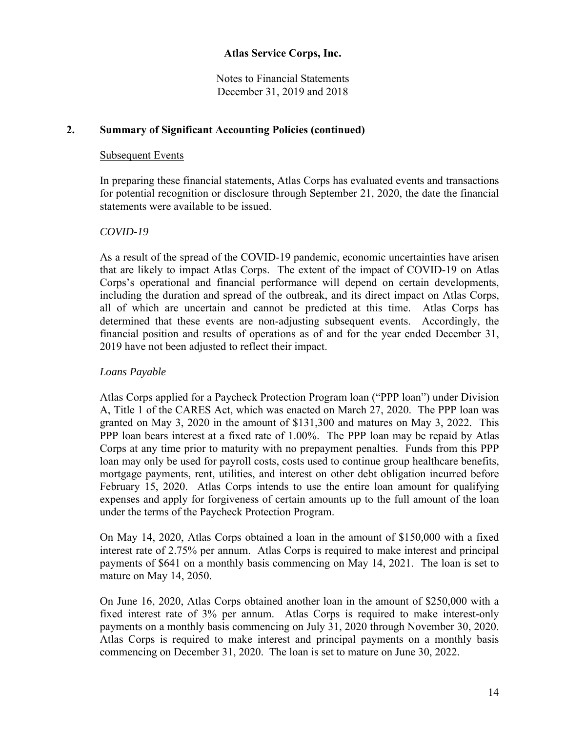Notes to Financial Statements December 31, 2019 and 2018

## **2. Summary of Significant Accounting Policies (continued)**

#### Subsequent Events

In preparing these financial statements, Atlas Corps has evaluated events and transactions for potential recognition or disclosure through September 21, 2020, the date the financial statements were available to be issued.

#### *COVID-19*

As a result of the spread of the COVID-19 pandemic, economic uncertainties have arisen that are likely to impact Atlas Corps. The extent of the impact of COVID-19 on Atlas Corps's operational and financial performance will depend on certain developments, including the duration and spread of the outbreak, and its direct impact on Atlas Corps, all of which are uncertain and cannot be predicted at this time. Atlas Corps has determined that these events are non-adjusting subsequent events. Accordingly, the financial position and results of operations as of and for the year ended December 31, 2019 have not been adjusted to reflect their impact.

#### *Loans Payable*

Atlas Corps applied for a Paycheck Protection Program loan ("PPP loan") under Division A, Title 1 of the CARES Act, which was enacted on March 27, 2020. The PPP loan was granted on May 3, 2020 in the amount of \$131,300 and matures on May 3, 2022. This PPP loan bears interest at a fixed rate of 1.00%. The PPP loan may be repaid by Atlas Corps at any time prior to maturity with no prepayment penalties. Funds from this PPP loan may only be used for payroll costs, costs used to continue group healthcare benefits, mortgage payments, rent, utilities, and interest on other debt obligation incurred before February 15, 2020. Atlas Corps intends to use the entire loan amount for qualifying expenses and apply for forgiveness of certain amounts up to the full amount of the loan under the terms of the Paycheck Protection Program.

On May 14, 2020, Atlas Corps obtained a loan in the amount of \$150,000 with a fixed interest rate of 2.75% per annum. Atlas Corps is required to make interest and principal payments of \$641 on a monthly basis commencing on May 14, 2021. The loan is set to mature on May 14, 2050.

On June 16, 2020, Atlas Corps obtained another loan in the amount of \$250,000 with a fixed interest rate of 3% per annum. Atlas Corps is required to make interest-only payments on a monthly basis commencing on July 31, 2020 through November 30, 2020. Atlas Corps is required to make interest and principal payments on a monthly basis commencing on December 31, 2020. The loan is set to mature on June 30, 2022.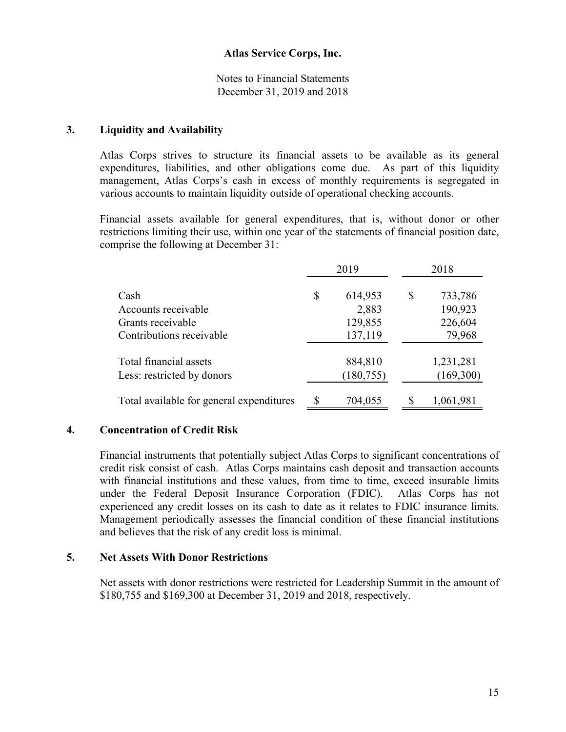Notes to Financial Statements December 31, 2019 and 2018

#### **3. Liquidity and Availability**

Atlas Corps strives to structure its financial assets to be available as its general expenditures, liabilities, and other obligations come due. As part of this liquidity management, Atlas Corps's cash in excess of monthly requirements is segregated in various accounts to maintain liquidity outside of operational checking accounts.

Financial assets available for general expenditures, that is, without donor or other restrictions limiting their use, within one year of the statements of financial position date, comprise the following at December 31:

|                                          |    | 2019       | 2018          |
|------------------------------------------|----|------------|---------------|
| Cash                                     | \$ | 614,953    | \$<br>733,786 |
| Accounts receivable                      |    | 2,883      | 190,923       |
| Grants receivable                        |    | 129,855    | 226,604       |
| Contributions receivable                 |    | 137,119    | 79,968        |
| Total financial assets                   |    | 884,810    | 1,231,281     |
| Less: restricted by donors               |    | (180, 755) | (169,300)     |
| Total available for general expenditures |    | 704,055    | 1,061,981     |

#### **4. Concentration of Credit Risk**

Financial instruments that potentially subject Atlas Corps to significant concentrations of credit risk consist of cash. Atlas Corps maintains cash deposit and transaction accounts with financial institutions and these values, from time to time, exceed insurable limits under the Federal Deposit Insurance Corporation (FDIC). Atlas Corps has not experienced any credit losses on its cash to date as it relates to FDIC insurance limits. Management periodically assesses the financial condition of these financial institutions and believes that the risk of any credit loss is minimal.

#### **5. Net Assets With Donor Restrictions**

Net assets with donor restrictions were restricted for Leadership Summit in the amount of \$180,755 and \$169,300 at December 31, 2019 and 2018, respectively.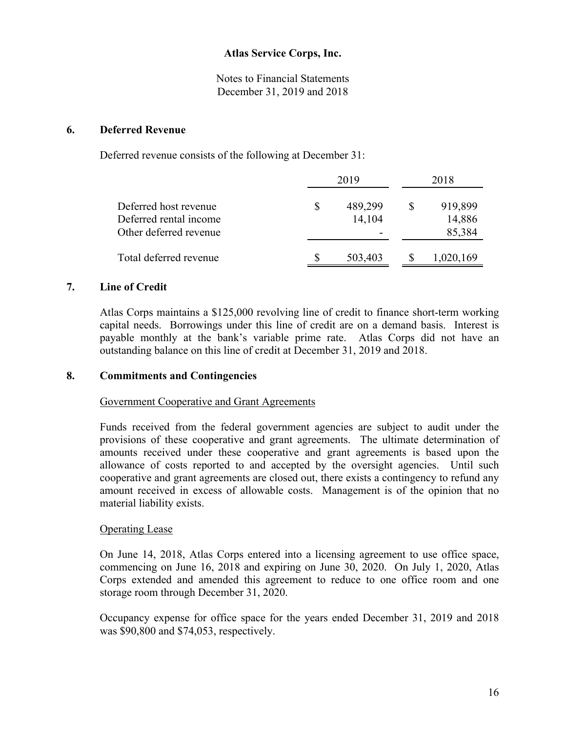Notes to Financial Statements December 31, 2019 and 2018

#### **6. Deferred Revenue**

Deferred revenue consists of the following at December 31:

|                        | 2019    | 2018      |  |  |
|------------------------|---------|-----------|--|--|
| Deferred host revenue  | 489,299 | 919,899   |  |  |
| Deferred rental income | 14,104  | 14,886    |  |  |
| Other deferred revenue |         | 85,384    |  |  |
| Total deferred revenue | 503,403 | 1,020,169 |  |  |

#### **7. Line of Credit**

Atlas Corps maintains a \$125,000 revolving line of credit to finance short-term working capital needs. Borrowings under this line of credit are on a demand basis. Interest is payable monthly at the bank's variable prime rate. Atlas Corps did not have an outstanding balance on this line of credit at December 31, 2019 and 2018.

#### **8. Commitments and Contingencies**

#### Government Cooperative and Grant Agreements

Funds received from the federal government agencies are subject to audit under the provisions of these cooperative and grant agreements. The ultimate determination of amounts received under these cooperative and grant agreements is based upon the allowance of costs reported to and accepted by the oversight agencies. Until such cooperative and grant agreements are closed out, there exists a contingency to refund any amount received in excess of allowable costs. Management is of the opinion that no material liability exists.

#### Operating Lease

On June 14, 2018, Atlas Corps entered into a licensing agreement to use office space, commencing on June 16, 2018 and expiring on June 30, 2020. On July 1, 2020, Atlas Corps extended and amended this agreement to reduce to one office room and one storage room through December 31, 2020.

Occupancy expense for office space for the years ended December 31, 2019 and 2018 was \$90,800 and \$74,053, respectively.